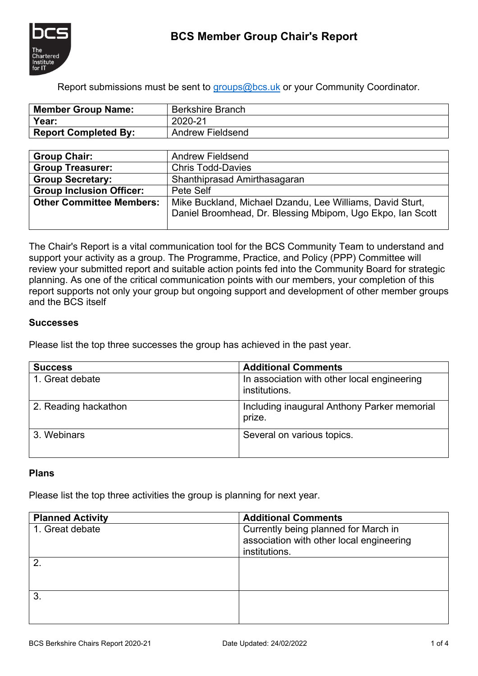

Report submissions must be sent to [groups@bcs.uk](mailto:groups@bcs.uk) or your Community Coordinator.

| <b>Member Group Name:</b>   | <b>Berkshire Branch</b> |
|-----------------------------|-------------------------|
| Year:                       | 2020-21                 |
| <b>Report Completed By:</b> | <b>Andrew Fieldsend</b> |

| <b>Group Chair:</b>             | <b>Andrew Fieldsend</b>                                                                                                 |
|---------------------------------|-------------------------------------------------------------------------------------------------------------------------|
| <b>Group Treasurer:</b>         | <b>Chris Todd-Davies</b>                                                                                                |
| <b>Group Secretary:</b>         | Shanthiprasad Amirthasagaran                                                                                            |
| <b>Group Inclusion Officer:</b> | Pete Self                                                                                                               |
| <b>Other Committee Members:</b> | Mike Buckland, Michael Dzandu, Lee Williams, David Sturt,<br>Daniel Broomhead, Dr. Blessing Mbipom, Ugo Ekpo, Ian Scott |

The Chair's Report is a vital communication tool for the BCS Community Team to understand and support your activity as a group. The Programme, Practice, and Policy (PPP) Committee will review your submitted report and suitable action points fed into the Community Board for strategic planning. As one of the critical communication points with our members, your completion of this report supports not only your group but ongoing support and development of other member groups and the BCS itself

## **Successes**

Please list the top three successes the group has achieved in the past year.

| <b>Success</b>       | <b>Additional Comments</b>                                   |  |
|----------------------|--------------------------------------------------------------|--|
| 1. Great debate      | In association with other local engineering<br>institutions. |  |
| 2. Reading hackathon | Including inaugural Anthony Parker memorial<br>prize.        |  |
| 3. Webinars          | Several on various topics.                                   |  |

# **Plans**

Please list the top three activities the group is planning for next year.

| <b>Planned Activity</b> | <b>Additional Comments</b>                                                                        |
|-------------------------|---------------------------------------------------------------------------------------------------|
| 1. Great debate         | Currently being planned for March in<br>association with other local engineering<br>institutions. |
|                         |                                                                                                   |
|                         |                                                                                                   |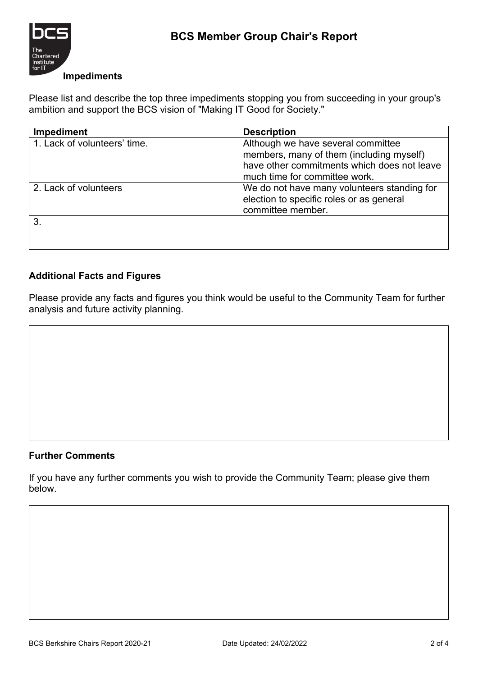

## **Impediments**

Please list and describe the top three impediments stopping you from succeeding in your group's ambition and support the BCS vision of "Making IT Good for Society."

| <b>Impediment</b>            | <b>Description</b>                          |
|------------------------------|---------------------------------------------|
| 1. Lack of volunteers' time. | Although we have several committee          |
|                              | members, many of them (including myself)    |
|                              | have other commitments which does not leave |
|                              | much time for committee work.               |
| 2. Lack of volunteers        | We do not have many volunteers standing for |
|                              | election to specific roles or as general    |
|                              | committee member.                           |
|                              |                                             |
|                              |                                             |
|                              |                                             |

# **Additional Facts and Figures**

Please provide any facts and figures you think would be useful to the Community Team for further analysis and future activity planning.

## **Further Comments**

If you have any further comments you wish to provide the Community Team; please give them below.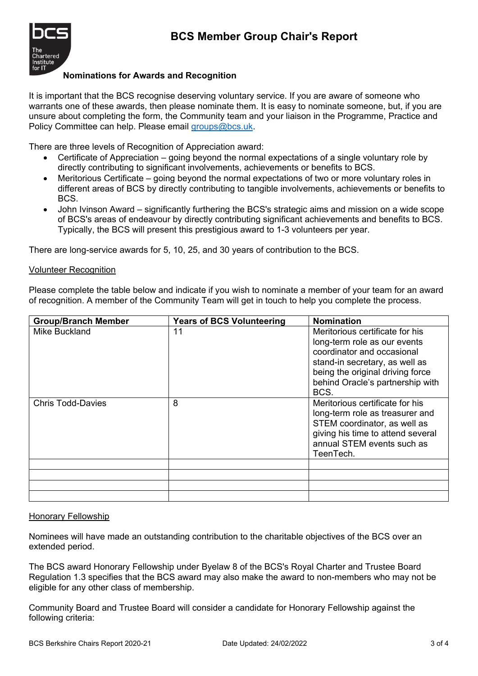

#### **Nominations for Awards and Recognition**

It is important that the BCS recognise deserving voluntary service. If you are aware of someone who warrants one of these awards, then please nominate them. It is easy to nominate someone, but, if you are unsure about completing the form, the Community team and your liaison in the Programme, Practice and Policy Committee can help. Please email [groups@bcs.uk.](mailto:groups@bcs.uk)

There are three levels of Recognition of Appreciation award:

- Certificate of Appreciation going beyond the normal expectations of a single voluntary role by directly contributing to significant involvements, achievements or benefits to BCS.
- Meritorious Certificate going beyond the normal expectations of two or more voluntary roles in different areas of BCS by directly contributing to tangible involvements, achievements or benefits to BCS.
- John Ivinson Award significantly furthering the BCS's strategic aims and mission on a wide scope of BCS's areas of endeavour by directly contributing significant achievements and benefits to BCS. Typically, the BCS will present this prestigious award to 1-3 volunteers per year.

There are long-service awards for 5, 10, 25, and 30 years of contribution to the BCS.

#### Volunteer Recognition

Please complete the table below and indicate if you wish to nominate a member of your team for an award of recognition. A member of the Community Team will get in touch to help you complete the process.

| <b>Group/Branch Member</b> | <b>Years of BCS Volunteering</b> | <b>Nomination</b>                                                                                                                                                                                               |
|----------------------------|----------------------------------|-----------------------------------------------------------------------------------------------------------------------------------------------------------------------------------------------------------------|
| Mike Buckland              | 11                               | Meritorious certificate for his<br>long-term role as our events<br>coordinator and occasional<br>stand-in secretary, as well as<br>being the original driving force<br>behind Oracle's partnership with<br>BCS. |
| <b>Chris Todd-Davies</b>   | 8                                | Meritorious certificate for his<br>long-term role as treasurer and<br>STEM coordinator, as well as<br>giving his time to attend several<br>annual STEM events such as<br>TeenTech.                              |
|                            |                                  |                                                                                                                                                                                                                 |
|                            |                                  |                                                                                                                                                                                                                 |
|                            |                                  |                                                                                                                                                                                                                 |
|                            |                                  |                                                                                                                                                                                                                 |

#### Honorary Fellowship

Nominees will have made an outstanding contribution to the charitable objectives of the BCS over an extended period.

The BCS award Honorary Fellowship under Byelaw 8 of the BCS's Royal Charter and Trustee Board Regulation 1.3 specifies that the BCS award may also make the award to non-members who may not be eligible for any other class of membership.

Community Board and Trustee Board will consider a candidate for Honorary Fellowship against the following criteria: